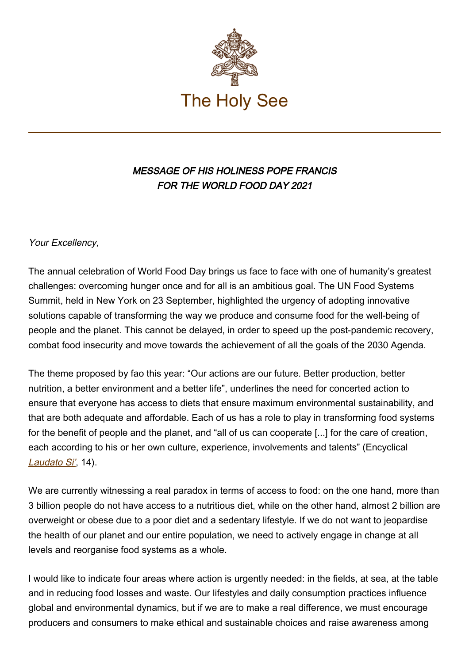

## MESSAGE OF HIS HOLINESS POPE FRANCIS FOR THE WORLD FOOD DAY 2021

Your Excellency,

The annual celebration of World Food Day brings us face to face with one of humanity's greatest challenges: overcoming hunger once and for all is an ambitious goal. The UN Food Systems Summit, held in New York on 23 September, highlighted the urgency of adopting innovative solutions capable of transforming the way we produce and consume food for the well-being of people and the planet. This cannot be delayed, in order to speed up the post-pandemic recovery, combat food insecurity and move towards the achievement of all the goals of the 2030 Agenda.

The theme proposed by fao this year: "Our actions are our future. Better production, better nutrition, a better environment and a better life", underlines the need for concerted action to ensure that everyone has access to diets that ensure maximum environmental sustainability, and that are both adequate and affordable. Each of us has a role to play in transforming food systems for the benefit of people and the planet, and "all of us can cooperate [...] for the care of creation, each according to his or her own culture, experience, involvements and talents" (Encyclical [Laudato Si'](https://www.vatican.va/content/francesco/en/encyclicals/documents/papa-francesco_20150524_enciclica-laudato-si.html#14), 14).

We are currently witnessing a real paradox in terms of access to food: on the one hand, more than 3 billion people do not have access to a nutritious diet, while on the other hand, almost 2 billion are overweight or obese due to a poor diet and a sedentary lifestyle. If we do not want to jeopardise the health of our planet and our entire population, we need to actively engage in change at all levels and reorganise food systems as a whole.

I would like to indicate four areas where action is urgently needed: in the fields, at sea, at the table and in reducing food losses and waste. Our lifestyles and daily consumption practices influence global and environmental dynamics, but if we are to make a real difference, we must encourage producers and consumers to make ethical and sustainable choices and raise awareness among